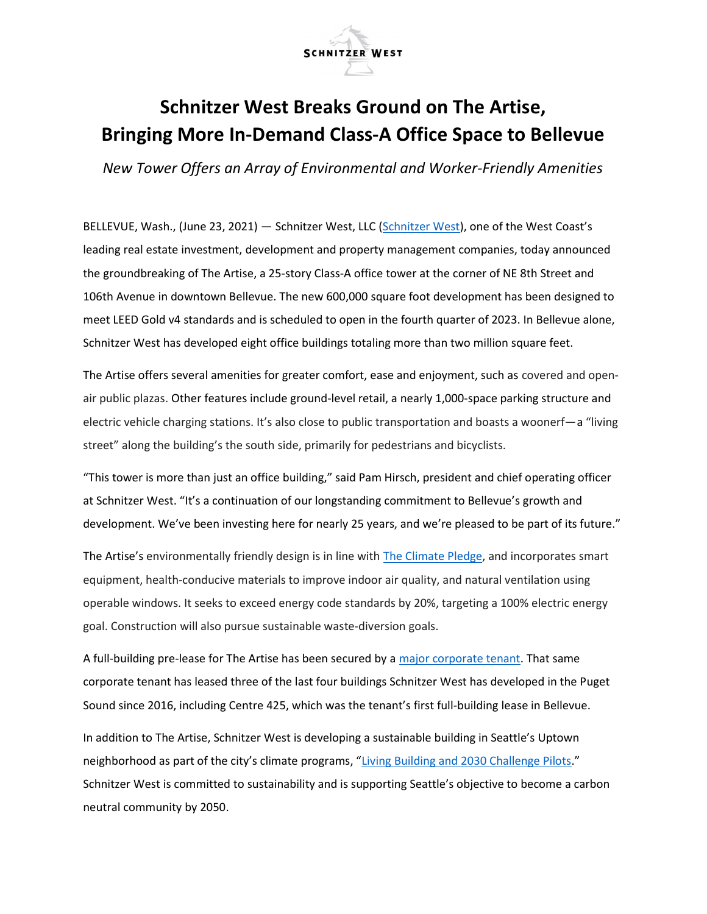

## Schnitzer West Breaks Ground on The Artise, Bringing More In-Demand Class-A Office Space to Bellevue

New Tower Offers an Array of Environmental and Worker-Friendly Amenities

BELLEVUE, Wash., (June 23, 2021) — Schnitzer West, LLC (Schnitzer West), one of the West Coast's leading real estate investment, development and property management companies, today announced the groundbreaking of The Artise, a 25-story Class-A office tower at the corner of NE 8th Street and 106th Avenue in downtown Bellevue. The new 600,000 square foot development has been designed to meet LEED Gold v4 standards and is scheduled to open in the fourth quarter of 2023. In Bellevue alone, Schnitzer West has developed eight office buildings totaling more than two million square feet.

The Artise offers several amenities for greater comfort, ease and enjoyment, such as covered and openair public plazas. Other features include ground-level retail, a nearly 1,000-space parking structure and electric vehicle charging stations. It's also close to public transportation and boasts a woonerf—a "living street" along the building's the south side, primarily for pedestrians and bicyclists.

"This tower is more than just an office building," said Pam Hirsch, president and chief operating officer at Schnitzer West. "It's a continuation of our longstanding commitment to Bellevue's growth and development. We've been investing here for nearly 25 years, and we're pleased to be part of its future."

The Artise's environmentally friendly design is in line with The Climate Pledge, and incorporates smart equipment, health-conducive materials to improve indoor air quality, and natural ventilation using operable windows. It seeks to exceed energy code standards by 20%, targeting a 100% electric energy goal. Construction will also pursue sustainable waste-diversion goals.

A full-building pre-lease for The Artise has been secured by a major corporate tenant. That same corporate tenant has leased three of the last four buildings Schnitzer West has developed in the Puget Sound since 2016, including Centre 425, which was the tenant's first full-building lease in Bellevue.

In addition to The Artise, Schnitzer West is developing a sustainable building in Seattle's Uptown neighborhood as part of the city's climate programs, "Living Building and 2030 Challenge Pilots." Schnitzer West is committed to sustainability and is supporting Seattle's objective to become a carbon neutral community by 2050.